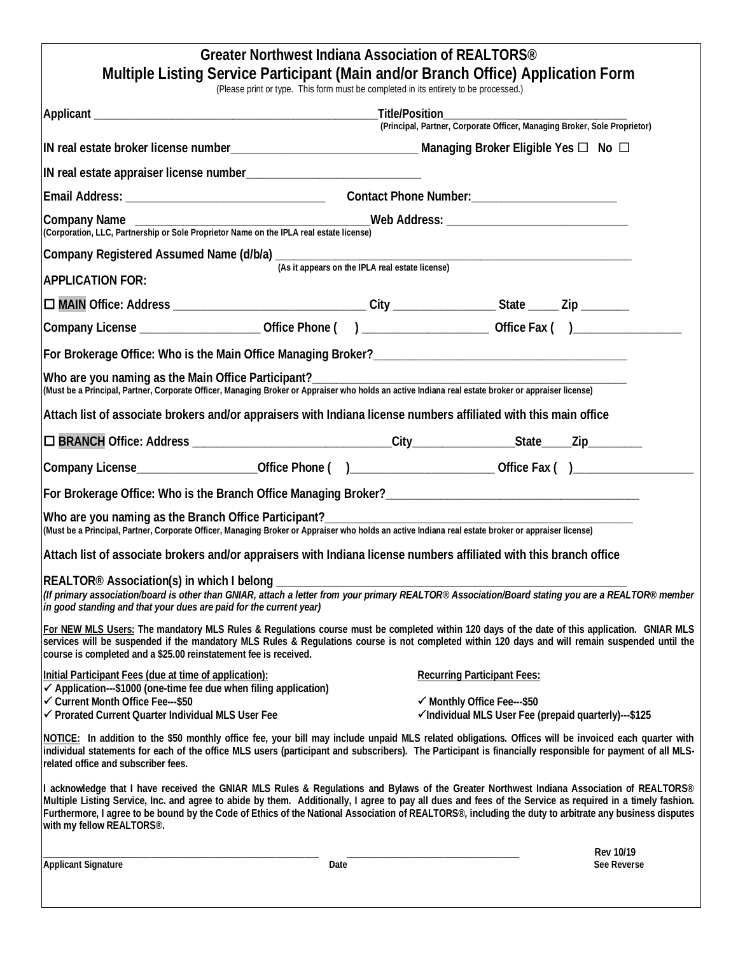|                                                                                                                                                                                                             | Greater Northwest Indiana Association of REALTORS <sup>®</sup>                       |                                                                                                                                                                                                                                                                                                                                                                                                                                                                  |  |  |  |  |
|-------------------------------------------------------------------------------------------------------------------------------------------------------------------------------------------------------------|--------------------------------------------------------------------------------------|------------------------------------------------------------------------------------------------------------------------------------------------------------------------------------------------------------------------------------------------------------------------------------------------------------------------------------------------------------------------------------------------------------------------------------------------------------------|--|--|--|--|
|                                                                                                                                                                                                             | (Please print or type. This form must be completed in its entirety to be processed.) | Multiple Listing Service Participant (Main and/or Branch Office) Application Form                                                                                                                                                                                                                                                                                                                                                                                |  |  |  |  |
|                                                                                                                                                                                                             |                                                                                      |                                                                                                                                                                                                                                                                                                                                                                                                                                                                  |  |  |  |  |
|                                                                                                                                                                                                             |                                                                                      | (Principal, Partner, Corporate Officer, Managing Broker, Sole Proprietor)                                                                                                                                                                                                                                                                                                                                                                                        |  |  |  |  |
|                                                                                                                                                                                                             |                                                                                      |                                                                                                                                                                                                                                                                                                                                                                                                                                                                  |  |  |  |  |
|                                                                                                                                                                                                             |                                                                                      |                                                                                                                                                                                                                                                                                                                                                                                                                                                                  |  |  |  |  |
|                                                                                                                                                                                                             |                                                                                      |                                                                                                                                                                                                                                                                                                                                                                                                                                                                  |  |  |  |  |
| Company Name<br>Corporation, LLC, Partnership or Sole Proprietor Name on the IPLA real estate license)<br>Corporation, LLC, Partnership or Sole Proprietor Name on the IPLA real estate license)            |                                                                                      |                                                                                                                                                                                                                                                                                                                                                                                                                                                                  |  |  |  |  |
|                                                                                                                                                                                                             |                                                                                      |                                                                                                                                                                                                                                                                                                                                                                                                                                                                  |  |  |  |  |
| <b>APPLICATION FOR:</b>                                                                                                                                                                                     |                                                                                      |                                                                                                                                                                                                                                                                                                                                                                                                                                                                  |  |  |  |  |
|                                                                                                                                                                                                             |                                                                                      |                                                                                                                                                                                                                                                                                                                                                                                                                                                                  |  |  |  |  |
| Company License _______________________Office Phone () ________________________Office Fax ()__________________                                                                                              |                                                                                      |                                                                                                                                                                                                                                                                                                                                                                                                                                                                  |  |  |  |  |
|                                                                                                                                                                                                             |                                                                                      |                                                                                                                                                                                                                                                                                                                                                                                                                                                                  |  |  |  |  |
| Who are you naming as the Main Office Participant?<br>(Must be a Principal, Partner, Corporate Officer, Managing Broker or Appraiser who holds an active Indiana real estate broker or appraiser license)   |                                                                                      |                                                                                                                                                                                                                                                                                                                                                                                                                                                                  |  |  |  |  |
| Attach list of associate brokers and/or appraisers with Indiana license numbers affiliated with this main office                                                                                            |                                                                                      |                                                                                                                                                                                                                                                                                                                                                                                                                                                                  |  |  |  |  |
|                                                                                                                                                                                                             |                                                                                      |                                                                                                                                                                                                                                                                                                                                                                                                                                                                  |  |  |  |  |
| Company License_____________________Office Phone ()__________________________Office Fax ()____________________                                                                                              |                                                                                      |                                                                                                                                                                                                                                                                                                                                                                                                                                                                  |  |  |  |  |
|                                                                                                                                                                                                             |                                                                                      |                                                                                                                                                                                                                                                                                                                                                                                                                                                                  |  |  |  |  |
| Who are you naming as the Branch Office Participant?<br>(Must be a Principal, Partner, Corporate Officer, Managing Broker or Appraiser who holds an active Indiana real estate broker or appraiser license) |                                                                                      |                                                                                                                                                                                                                                                                                                                                                                                                                                                                  |  |  |  |  |
| Attach list of associate brokers and/or appraisers with Indiana license numbers affiliated with this branch office                                                                                          |                                                                                      |                                                                                                                                                                                                                                                                                                                                                                                                                                                                  |  |  |  |  |
| REALTOR <sup>®</sup> Association(s) in which I belong ____________<br>in good standing and that your dues are paid for the current year)                                                                    |                                                                                      | (If primary association/board is other than GNIAR, attach a letter from your primary REALTOR® Association/Board stating you are a REALTOR® member                                                                                                                                                                                                                                                                                                                |  |  |  |  |
| course is completed and a \$25.00 reinstatement fee is received.                                                                                                                                            |                                                                                      | For NEW MLS Users: The mandatory MLS Rules & Regulations course must be completed within 120 days of the date of this application. GNIAR MLS<br>services will be suspended if the mandatory MLS Rules & Regulations course is not completed within 120 days and will remain suspended until the                                                                                                                                                                  |  |  |  |  |
| Initial Participant Fees (due at time of application):                                                                                                                                                      |                                                                                      | <b>Recurring Participant Fees:</b>                                                                                                                                                                                                                                                                                                                                                                                                                               |  |  |  |  |
| ✔ Application---\$1000 (one-time fee due when filing application)<br>← Current Month Office Fee---\$50<br>√ Prorated Current Quarter Individual MLS User Fee                                                |                                                                                      | √ Monthly Office Fee---\$50<br>√Individual MLS User Fee (prepaid quarterly)---\$125                                                                                                                                                                                                                                                                                                                                                                              |  |  |  |  |
| related office and subscriber fees.                                                                                                                                                                         |                                                                                      | NOTICE: In addition to the \$50 monthly office fee, your bill may include unpaid MLS related obligations. Offices will be invoiced each quarter with<br>individual statements for each of the office MLS users (participant and subscribers). The Participant is financially responsible for payment of all MLS-                                                                                                                                                 |  |  |  |  |
| with my fellow REALTORS®.                                                                                                                                                                                   |                                                                                      | I acknowledge that I have received the GNIAR MLS Rules & Regulations and Bylaws of the Greater Northwest Indiana Association of REALTORS®<br>Multiple Listing Service, Inc. and agree to abide by them. Additionally, I agree to pay all dues and fees of the Service as required in a timely fashion.<br>Furthermore, I agree to be bound by the Code of Ethics of the National Association of REALTORS®, including the duty to arbitrate any business disputes |  |  |  |  |
| <b>Applicant Signature</b>                                                                                                                                                                                  | Date                                                                                 | <b>Rev 10/19</b><br>See Reverse                                                                                                                                                                                                                                                                                                                                                                                                                                  |  |  |  |  |
|                                                                                                                                                                                                             |                                                                                      |                                                                                                                                                                                                                                                                                                                                                                                                                                                                  |  |  |  |  |